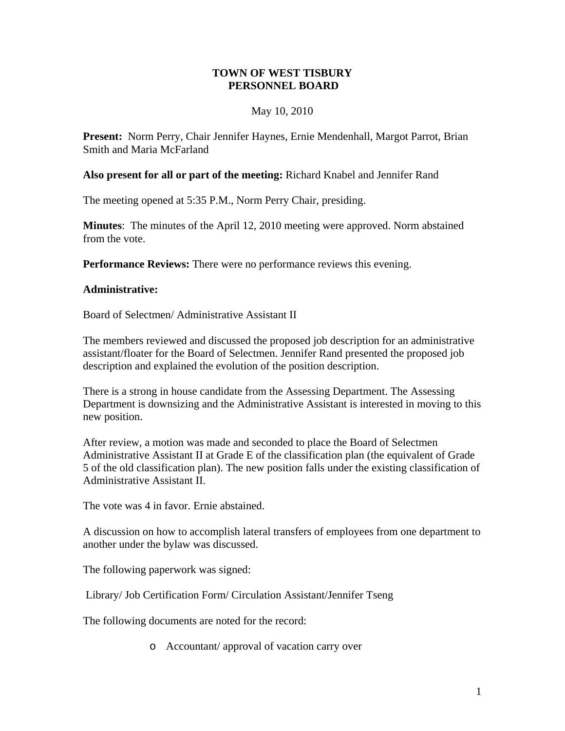## **TOWN OF WEST TISBURY PERSONNEL BOARD**

## May 10, 2010

**Present:** Norm Perry, Chair Jennifer Haynes, Ernie Mendenhall, Margot Parrot, Brian Smith and Maria McFarland

## **Also present for all or part of the meeting:** Richard Knabel and Jennifer Rand

The meeting opened at 5:35 P.M., Norm Perry Chair, presiding.

**Minutes**: The minutes of the April 12, 2010 meeting were approved. Norm abstained from the vote.

**Performance Reviews:** There were no performance reviews this evening.

## **Administrative:**

Board of Selectmen/ Administrative Assistant II

The members reviewed and discussed the proposed job description for an administrative assistant/floater for the Board of Selectmen. Jennifer Rand presented the proposed job description and explained the evolution of the position description.

There is a strong in house candidate from the Assessing Department. The Assessing Department is downsizing and the Administrative Assistant is interested in moving to this new position.

After review, a motion was made and seconded to place the Board of Selectmen Administrative Assistant II at Grade E of the classification plan (the equivalent of Grade 5 of the old classification plan). The new position falls under the existing classification of Administrative Assistant II.

The vote was 4 in favor. Ernie abstained.

A discussion on how to accomplish lateral transfers of employees from one department to another under the bylaw was discussed.

The following paperwork was signed:

Library/ Job Certification Form/ Circulation Assistant/Jennifer Tseng

The following documents are noted for the record:

o Accountant/ approval of vacation carry over